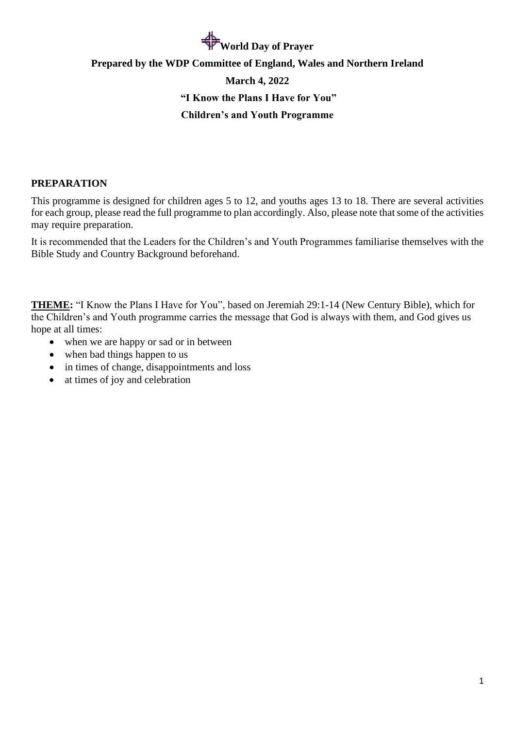# **World Day of Prayer**

# **Prepared by the WDP Committee of England, Wales and Northern Ireland March 4, 2022 "I Know the Plans I Have for You" Children's and Youth Programme**

# **PREPARATION**

This programme is designed for children ages 5 to 12, and youths ages 13 to 18. There are several activities for each group, please read the full programme to plan accordingly. Also, please note that some of the activities may require preparation.

It is recommended that the Leaders for the Children's and Youth Programmes familiarise themselves with the Bible Study and Country Background beforehand.

**THEME:** "I Know the Plans I Have for You", based on Jeremiah 29:1-14 (New Century Bible), which for the Children's and Youth programme carries the message that God is always with them, and God gives us hope at all times:

- when we are happy or sad or in between
- when bad things happen to us
- in times of change, disappointments and loss
- at times of joy and celebration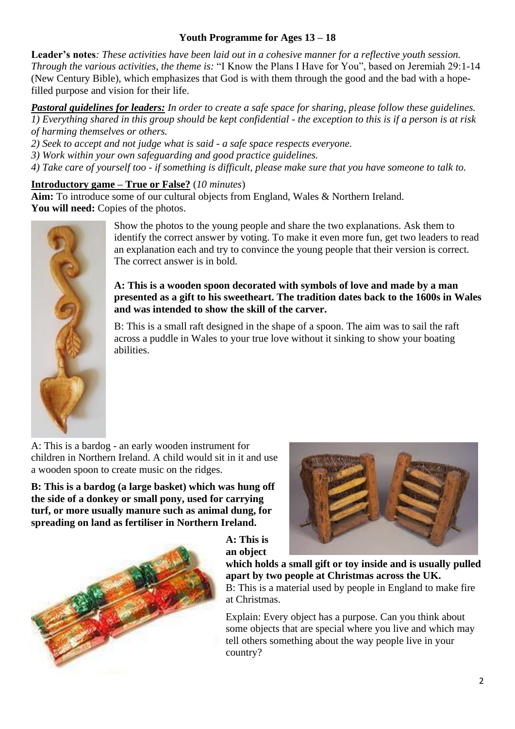# **Youth Programme for Ages 13 – 18**

**Leader's notes***: These activities have been laid out in a cohesive manner for a reflective youth session. Through the various activities, the theme is:* "I Know the Plans I Have for You", based on Jeremiah 29:1-14 (New Century Bible), which emphasizes that God is with them through the good and the bad with a hopefilled purpose and vision for their life.

*Pastoral guidelines for leaders: In order to create a safe space for sharing, please follow these guidelines. 1) Everything shared in this group should be kept confidential - the exception to this is if a person is at risk of harming themselves or others.* 

- *2) Seek to accept and not judge what is said - a safe space respects everyone.*
- *3) Work within your own safeguarding and good practice guidelines.*
- *4) Take care of yourself too - if something is difficult, please make sure that you have someone to talk to.*

### **Introductory game – True or False?** (*10 minutes*)

**Aim:** To introduce some of our cultural objects from England, Wales & Northern Ireland. **You will need:** Copies of the photos.



Show the photos to the young people and share the two explanations. Ask them to identify the correct answer by voting. To make it even more fun, get two leaders to read an explanation each and try to convince the young people that their version is correct. The correct answer is in bold.

#### **A: This is a wooden spoon decorated with symbols of love and made by a man presented as a gift to his sweetheart. The tradition dates back to the 1600s in Wales and was intended to show the skill of the carver.**

B: This is a small raft designed in the shape of a spoon. The aim was to sail the raft across a puddle in Wales to your true love without it sinking to show your boating abilities.

A: This is a bardog - an early wooden instrument for children in Northern Ireland. A child would sit in it and use a wooden spoon to create music on the ridges.

**B: This is a bardog (a large basket) which was hung off the side of a donkey or small pony, used for carrying turf, or more usually manure such as animal dung, for spreading on land as fertiliser in Northern Ireland.**





**an object which holds a small gift or toy inside and is usually pulled apart by two people at Christmas across the UK.** B: This is a material used by people in England to make fire at Christmas.

Explain: Every object has a purpose. Can you think about some objects that are special where you live and which may tell others something about the way people live in your country?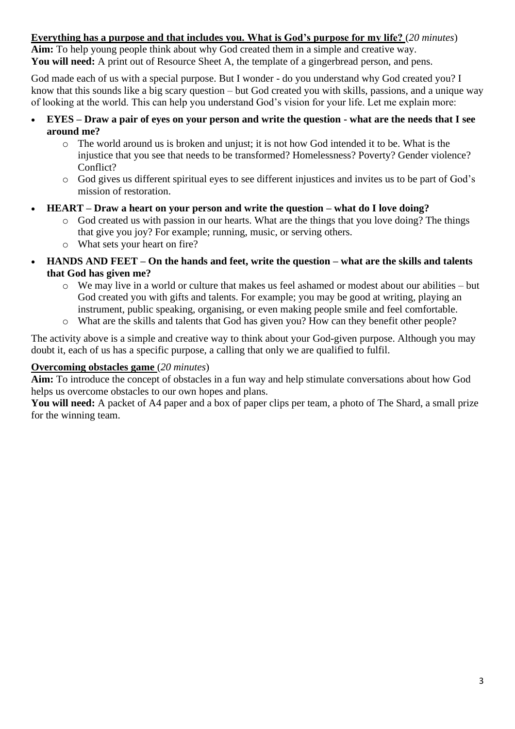# **Everything has a purpose and that includes you. What is God's purpose for my life?** (*20 minutes*)

**Aim:** To help young people think about why God created them in a simple and creative way. **You will need:** A print out of Resource Sheet A, the template of a gingerbread person, and pens.

God made each of us with a special purpose. But I wonder - do you understand why God created you? I know that this sounds like a big scary question – but God created you with skills, passions, and a unique way of looking at the world. This can help you understand God's vision for your life. Let me explain more:

- **EYES – Draw a pair of eyes on your person and write the question - what are the needs that I see around me?**
	- $\circ$  The world around us is broken and unjust; it is not how God intended it to be. What is the injustice that you see that needs to be transformed? Homelessness? Poverty? Gender violence? Conflict?
	- o God gives us different spiritual eyes to see different injustices and invites us to be part of God's mission of restoration.
- **HEART – Draw a heart on your person and write the question – what do I love doing?**
	- o God created us with passion in our hearts. What are the things that you love doing? The things that give you joy? For example; running, music, or serving others.
	- o What sets your heart on fire?
- **HANDS AND FEET – On the hands and feet, write the question – what are the skills and talents that God has given me?**
	- o We may live in a world or culture that makes us feel ashamed or modest about our abilities but God created you with gifts and talents. For example; you may be good at writing, playing an instrument, public speaking, organising, or even making people smile and feel comfortable.
	- o What are the skills and talents that God has given you? How can they benefit other people?

The activity above is a simple and creative way to think about your God-given purpose. Although you may doubt it, each of us has a specific purpose, a calling that only we are qualified to fulfil.

# **Overcoming obstacles game** (*20 minutes*)

**Aim:** To introduce the concept of obstacles in a fun way and help stimulate conversations about how God helps us overcome obstacles to our own hopes and plans.

**You will need:** A packet of A4 paper and a box of paper clips per team, a photo of The Shard, a small prize for the winning team.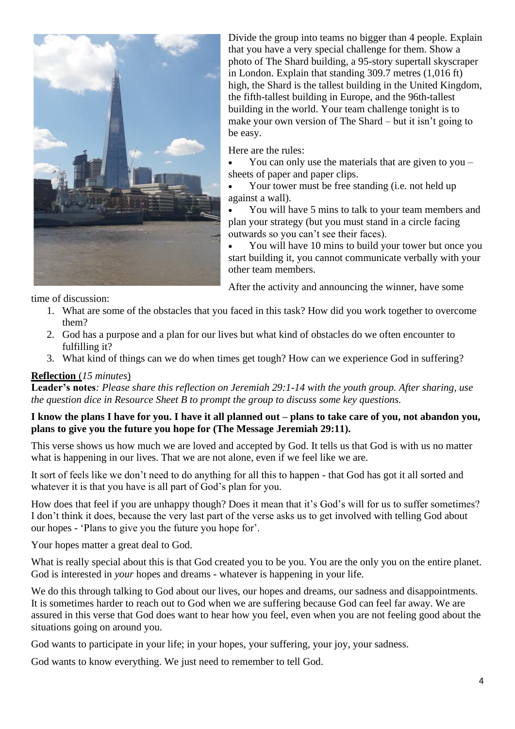

Divide the group into teams no bigger than 4 people. Explain that you have a very special challenge for them. Show a photo of The Shard building, a 95-story supertall skyscraper in London. Explain that standing 309.7 metres (1,016 ft) high, the Shard is the tallest building in the United Kingdom, the fifth-tallest building in Europe, and the 96th-tallest building in the world. Your team challenge tonight is to make your own version of The Shard – but it isn't going to be easy.

Here are the rules:

• You can only use the materials that are given to you – sheets of paper and paper clips.

• Your tower must be free standing (i.e. not held up against a wall).

• You will have 5 mins to talk to your team members and plan your strategy (but you must stand in a circle facing outwards so you can't see their faces).

• You will have 10 mins to build your tower but once you start building it, you cannot communicate verbally with your other team members.

After the activity and announcing the winner, have some

time of discussion:

- 1. What are some of the obstacles that you faced in this task? How did you work together to overcome them?
- 2. God has a purpose and a plan for our lives but what kind of obstacles do we often encounter to fulfilling it?
- 3. What kind of things can we do when times get tough? How can we experience God in suffering?

#### **Reflection** (*15 minutes*)

**Leader's notes***: Please share this reflection on Jeremiah 29:1-14 with the youth group. After sharing, use the question dice in Resource Sheet B to prompt the group to discuss some key questions.*

#### **I know the plans I have for you. I have it all planned out – plans to take care of you, not abandon you, plans to give you the future you hope for (The Message Jeremiah 29:11).**

This verse shows us how much we are loved and accepted by God. It tells us that God is with us no matter what is happening in our lives. That we are not alone, even if we feel like we are.

It sort of feels like we don't need to do anything for all this to happen - that God has got it all sorted and whatever it is that you have is all part of God's plan for you.

How does that feel if you are unhappy though? Does it mean that it's God's will for us to suffer sometimes? I don't think it does, because the very last part of the verse asks us to get involved with telling God about our hopes - 'Plans to give you the future you hope for'.

Your hopes matter a great deal to God.

What is really special about this is that God created you to be you. You are the only you on the entire planet. God is interested in *your* hopes and dreams - whatever is happening in your life.

We do this through talking to God about our lives, our hopes and dreams, our sadness and disappointments. It is sometimes harder to reach out to God when we are suffering because God can feel far away. We are assured in this verse that God does want to hear how you feel, even when you are not feeling good about the situations going on around you.

God wants to participate in your life; in your hopes, your suffering, your joy, your sadness.

God wants to know everything. We just need to remember to tell God.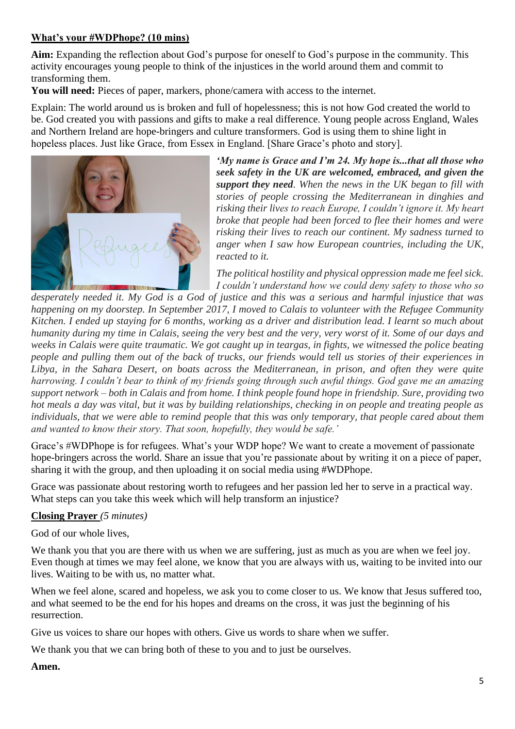# **What's your #WDPhope? (10 mins)**

**Aim:** Expanding the reflection about God's purpose for oneself to God's purpose in the community. This activity encourages young people to think of the injustices in the world around them and commit to transforming them.

**You will need:** Pieces of paper, markers, phone/camera with access to the internet.

Explain: The world around us is broken and full of hopelessness; this is not how God created the world to be. God created you with passions and gifts to make a real difference. Young people across England, Wales and Northern Ireland are hope-bringers and culture transformers. God is using them to shine light in hopeless places. Just like Grace, from Essex in England. [Share Grace's photo and story].



*'My name is Grace and I'm 24. My hope is...that all those who seek safety in the UK are welcomed, embraced, and given the support they need. When the news in the UK began to fill with stories of people crossing the Mediterranean in dinghies and risking their lives to reach Europe, I couldn't ignore it. My heart broke that people had been forced to flee their homes and were risking their lives to reach our continent. My sadness turned to anger when I saw how European countries, including the UK, reacted to it.*

*The political hostility and physical oppression made me feel sick. I couldn't understand how we could deny safety to those who so* 

*desperately needed it. My God is a God of justice and this was a serious and harmful injustice that was happening on my doorstep. In September 2017, I moved to Calais to volunteer with the Refugee Community Kitchen. I ended up staying for 6 months, working as a driver and distribution lead. I learnt so much about humanity during my time in Calais, seeing the very best and the very, very worst of it. Some of our days and weeks in Calais were quite traumatic. We got caught up in teargas, in fights, we witnessed the police beating people and pulling them out of the back of trucks, our friends would tell us stories of their experiences in Libya, in the Sahara Desert, on boats across the Mediterranean, in prison, and often they were quite harrowing. I couldn't bear to think of my friends going through such awful things. God gave me an amazing support network – both in Calais and from home. I think people found hope in friendship. Sure, providing two hot meals a day was vital, but it was by building relationships, checking in on people and treating people as individuals, that we were able to remind people that this was only temporary, that people cared about them and wanted to know their story. That soon, hopefully, they would be safe.'*

Grace's #WDPhope is for refugees. What's your WDP hope? We want to create a movement of passionate hope-bringers across the world. Share an issue that you're passionate about by writing it on a piece of paper, sharing it with the group, and then uploading it on social media using #WDPhope.

Grace was passionate about restoring worth to refugees and her passion led her to serve in a practical way. What steps can you take this week which will help transform an injustice?

#### **Closing Prayer** *(5 minutes)*

God of our whole lives,

We thank you that you are there with us when we are suffering, just as much as you are when we feel joy. Even though at times we may feel alone, we know that you are always with us, waiting to be invited into our lives. Waiting to be with us, no matter what.

When we feel alone, scared and hopeless, we ask you to come closer to us. We know that Jesus suffered too, and what seemed to be the end for his hopes and dreams on the cross, it was just the beginning of his resurrection.

Give us voices to share our hopes with others. Give us words to share when we suffer.

We thank you that we can bring both of these to you and to just be ourselves.

#### **Amen.**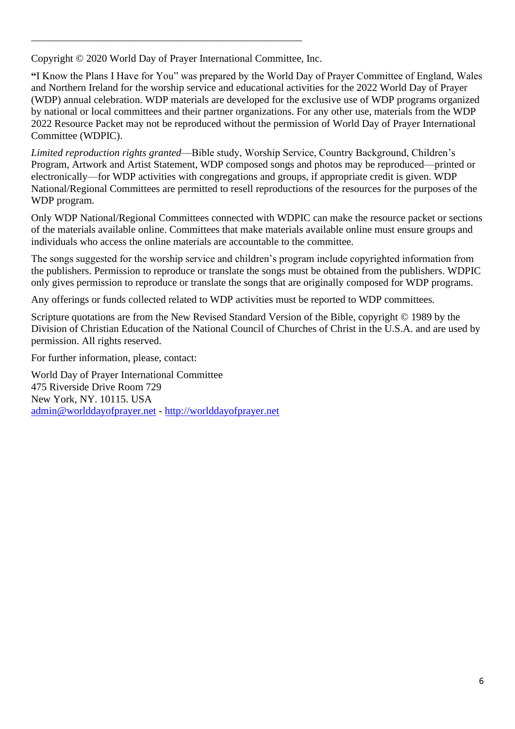Copyright © 2020 World Day of Prayer International Committee, Inc.

\_\_\_\_\_\_\_\_\_\_\_\_\_\_\_\_\_\_\_\_\_\_\_\_\_\_\_\_\_\_\_\_\_\_\_\_\_\_\_\_\_\_\_\_\_\_\_\_\_\_\_\_\_\_\_\_\_

**"**I Know the Plans I Have for You" was prepared by the World Day of Prayer Committee of England, Wales and Northern Ireland for the worship service and educational activities for the 2022 World Day of Prayer (WDP) annual celebration. WDP materials are developed for the exclusive use of WDP programs organized by national or local committees and their partner organizations. For any other use, materials from the WDP 2022 Resource Packet may not be reproduced without the permission of World Day of Prayer International Committee (WDPIC).

*Limited reproduction rights granted*—Bible study, Worship Service, Country Background, Children's Program, Artwork and Artist Statement, WDP composed songs and photos may be reproduced—printed or electronically—for WDP activities with congregations and groups, if appropriate credit is given. WDP National/Regional Committees are permitted to resell reproductions of the resources for the purposes of the WDP program.

Only WDP National/Regional Committees connected with WDPIC can make the resource packet or sections of the materials available online. Committees that make materials available online must ensure groups and individuals who access the online materials are accountable to the committee.

The songs suggested for the worship service and children's program include copyrighted information from the publishers. Permission to reproduce or translate the songs must be obtained from the publishers. WDPIC only gives permission to reproduce or translate the songs that are originally composed for WDP programs.

Any offerings or funds collected related to WDP activities must be reported to WDP committees.

Scripture quotations are from the New Revised Standard Version of the Bible, copyright © 1989 by the Division of Christian Education of the National Council of Churches of Christ in the U.S.A. and are used by permission. All rights reserved.

For further information, please, contact:

World Day of Prayer International Committee 475 Riverside Drive Room 729 New York, NY. 10115. USA [admin@worlddayofprayer.net](mailto:admin@worlddayofprayer.net) - [http://worlddayofprayer.net](http://worlddayofprayer.net/)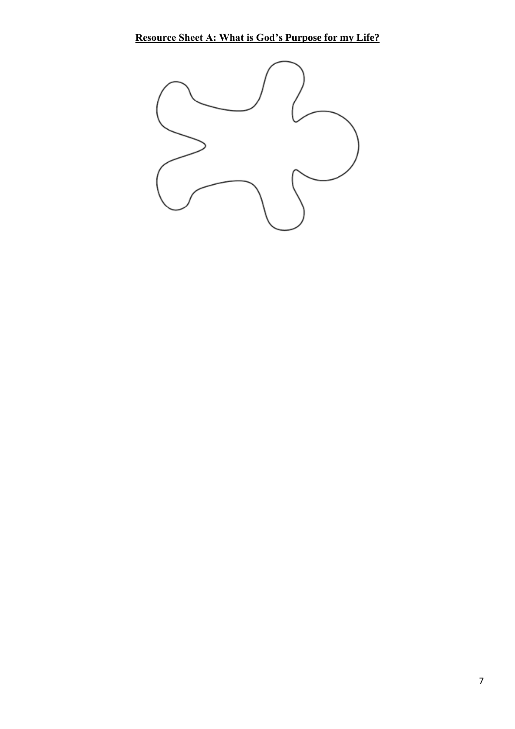